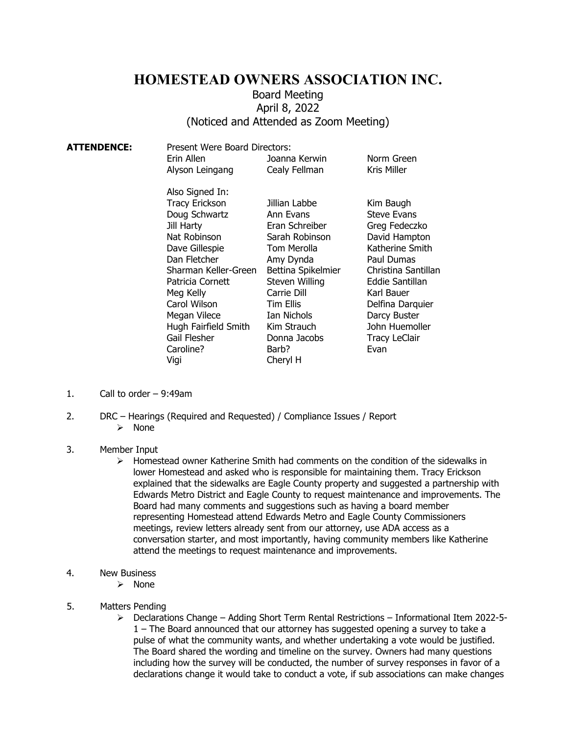## **HOMESTEAD OWNERS ASSOCIATION INC.**

## Board Meeting April 8, 2022 (Noticed and Attended as Zoom Meeting)

| <b>ATTENDENCE:</b> | Present Were Board Directors:<br>Erin Allen<br>Alyson Leingang                                                                                                                                                                                                                  | Joanna Kerwin<br>Cealy Fellman                                                                                                                                                                                                           | Norm Green<br>Kris Miller                                                                                                                                                                                                                        |
|--------------------|---------------------------------------------------------------------------------------------------------------------------------------------------------------------------------------------------------------------------------------------------------------------------------|------------------------------------------------------------------------------------------------------------------------------------------------------------------------------------------------------------------------------------------|--------------------------------------------------------------------------------------------------------------------------------------------------------------------------------------------------------------------------------------------------|
|                    | Also Signed In:<br><b>Tracy Erickson</b><br>Doug Schwartz<br>Jill Harty<br>Nat Robinson<br>Dave Gillespie<br>Dan Fletcher<br>Sharman Keller-Green<br>Patricia Cornett<br>Meg Kelly<br>Carol Wilson<br>Megan Vilece<br>Hugh Fairfield Smith<br>Gail Flesher<br>Caroline?<br>Vigi | Jillian Labbe<br>Ann Evans<br>Eran Schreiber<br>Sarah Robinson<br>Tom Merolla<br>Amy Dynda<br>Bettina Spikelmier<br>Steven Willing<br>Carrie Dill<br><b>Tim Ellis</b><br>Ian Nichols<br>Kim Strauch<br>Donna Jacobs<br>Barb?<br>Cheryl H | Kim Baugh<br><b>Steve Evans</b><br>Greg Fedeczko<br>David Hampton<br>Katherine Smith<br>Paul Dumas<br>Christina Santillan<br>Eddie Santillan<br>Karl Bauer<br>Delfina Darquier<br>Darcy Buster<br>John Huemoller<br><b>Tracy LeClair</b><br>Evan |
|                    |                                                                                                                                                                                                                                                                                 |                                                                                                                                                                                                                                          |                                                                                                                                                                                                                                                  |

- 1. Call to order 9:49am
- 2. DRC Hearings (Required and Requested) / Compliance Issues / Report  $\triangleright$  None
- 3. Member Input
	- $\triangleright$  Homestead owner Katherine Smith had comments on the condition of the sidewalks in lower Homestead and asked who is responsible for maintaining them. Tracy Erickson explained that the sidewalks are Eagle County property and suggested a partnership with Edwards Metro District and Eagle County to request maintenance and improvements. The Board had many comments and suggestions such as having a board member representing Homestead attend Edwards Metro and Eagle County Commissioners meetings, review letters already sent from our attorney, use ADA access as a conversation starter, and most importantly, having community members like Katherine attend the meetings to request maintenance and improvements.
- 4. New Business
	- $\triangleright$  None
- 5. Matters Pending
	- $\triangleright$  Declarations Change Adding Short Term Rental Restrictions Informational Item 2022-5-1 – The Board announced that our attorney has suggested opening a survey to take a pulse of what the community wants, and whether undertaking a vote would be justified. The Board shared the wording and timeline on the survey. Owners had many questions including how the survey will be conducted, the number of survey responses in favor of a declarations change it would take to conduct a vote, if sub associations can make changes